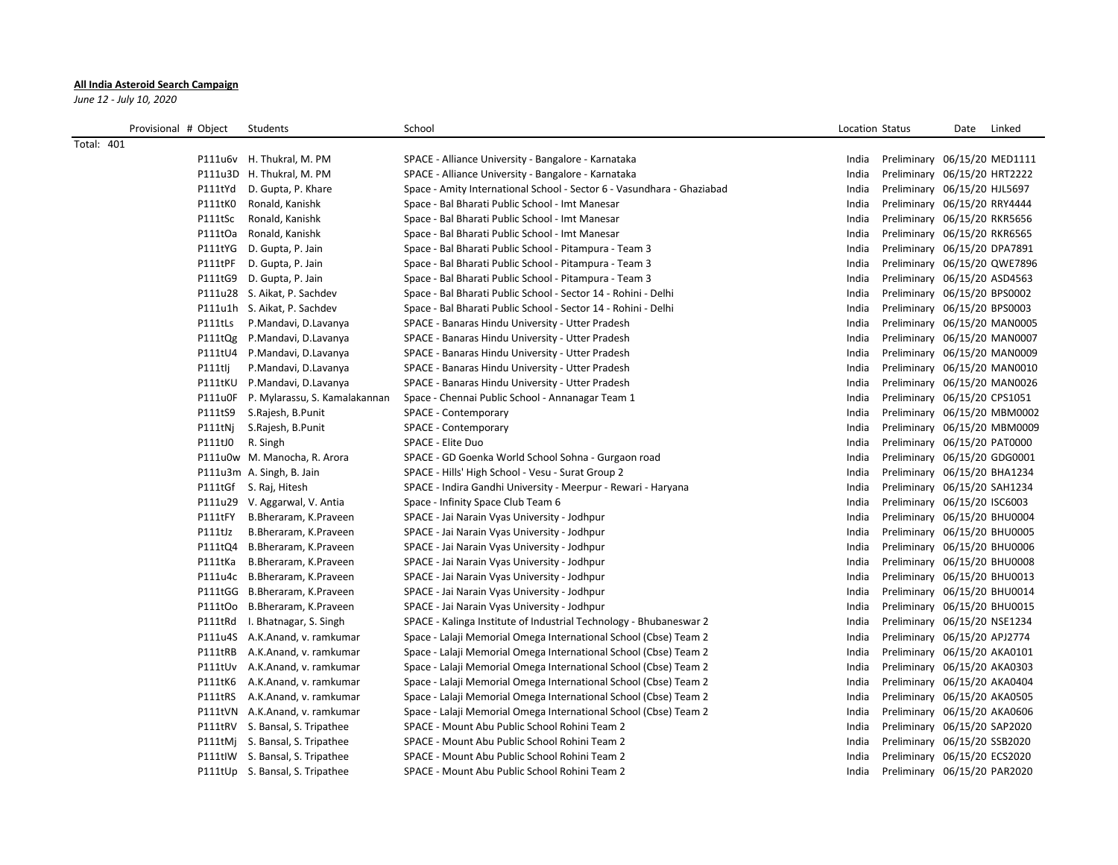## **All India Asteroid Search Campaign**

*June 12 - July 10, 2020*

| Provisional # Object | Students                        | School                                                                 | Location Status |                              | Date | Linked |
|----------------------|---------------------------------|------------------------------------------------------------------------|-----------------|------------------------------|------|--------|
| <b>Total: 401</b>    |                                 |                                                                        |                 |                              |      |        |
|                      | P111u6v H. Thukral, M. PM       | SPACE - Alliance University - Bangalore - Karnataka                    | India           | Preliminary 06/15/20 MED1111 |      |        |
|                      | P111u3D H. Thukral, M. PM       | SPACE - Alliance University - Bangalore - Karnataka                    | India           | Preliminary 06/15/20 HRT2222 |      |        |
| P111tYd              | D. Gupta, P. Khare              | Space - Amity International School - Sector 6 - Vasundhara - Ghaziabad | India           | Preliminary 06/15/20 HJL5697 |      |        |
| P111tK0              | Ronald, Kanishk                 | Space - Bal Bharati Public School - Imt Manesar                        | India           | Preliminary 06/15/20 RRY4444 |      |        |
| P111tSc              | Ronald, Kanishk                 | Space - Bal Bharati Public School - Imt Manesar                        | India           | Preliminary 06/15/20 RKR5656 |      |        |
| P111tOa              | Ronald, Kanishk                 | Space - Bal Bharati Public School - Imt Manesar                        | India           | Preliminary 06/15/20 RKR6565 |      |        |
| P111tYG              | D. Gupta, P. Jain               | Space - Bal Bharati Public School - Pitampura - Team 3                 | India           | Preliminary 06/15/20 DPA7891 |      |        |
| P111tPF              | D. Gupta, P. Jain               | Space - Bal Bharati Public School - Pitampura - Team 3                 | India           | Preliminary 06/15/20 QWE7896 |      |        |
| P111tG9              | D. Gupta, P. Jain               | Space - Bal Bharati Public School - Pitampura - Team 3                 | India           | Preliminary 06/15/20 ASD4563 |      |        |
|                      | P111u28 S. Aikat, P. Sachdev    | Space - Bal Bharati Public School - Sector 14 - Rohini - Delhi         | India           | Preliminary 06/15/20 BPS0002 |      |        |
|                      | P111u1h S. Aikat, P. Sachdev    | Space - Bal Bharati Public School - Sector 14 - Rohini - Delhi         | India           | Preliminary 06/15/20 BPS0003 |      |        |
| P111tLs              | P.Mandavi, D.Lavanya            | SPACE - Banaras Hindu University - Utter Pradesh                       | India           | Preliminary 06/15/20 MAN0005 |      |        |
| P111tQg              | P.Mandavi, D.Lavanya            | SPACE - Banaras Hindu University - Utter Pradesh                       | India           | Preliminary 06/15/20 MAN0007 |      |        |
| P111tU4              | P.Mandavi, D.Lavanya            | SPACE - Banaras Hindu University - Utter Pradesh                       | India           | Preliminary 06/15/20 MAN0009 |      |        |
| P111tlj              | P.Mandavi, D.Lavanya            | SPACE - Banaras Hindu University - Utter Pradesh                       | India           | Preliminary 06/15/20 MAN0010 |      |        |
| P111tKU              | P.Mandavi, D.Lavanya            | SPACE - Banaras Hindu University - Utter Pradesh                       | India           | Preliminary 06/15/20 MAN0026 |      |        |
| P111u0F              | P. Mylarassu, S. Kamalakannan   | Space - Chennai Public School - Annanagar Team 1                       | India           | Preliminary 06/15/20 CPS1051 |      |        |
| P111tS9              | S.Rajesh, B.Punit               | SPACE - Contemporary                                                   | India           | Preliminary 06/15/20 MBM0002 |      |        |
| P111tNi              | S.Rajesh, B.Punit               | SPACE - Contemporary                                                   | India           | Preliminary 06/15/20 MBM0009 |      |        |
| P111tJ0              | R. Singh                        | SPACE - Elite Duo                                                      | India           | Preliminary 06/15/20 PAT0000 |      |        |
|                      | P111u0w M. Manocha, R. Arora    | SPACE - GD Goenka World School Sohna - Gurgaon road                    | India           | Preliminary 06/15/20 GDG0001 |      |        |
|                      | P111u3m A. Singh, B. Jain       | SPACE - Hills' High School - Vesu - Surat Group 2                      | India           | Preliminary 06/15/20 BHA1234 |      |        |
|                      | P111tGf S. Raj, Hitesh          | SPACE - Indira Gandhi University - Meerpur - Rewari - Haryana          | India           | Preliminary 06/15/20 SAH1234 |      |        |
|                      | P111u29 V. Aggarwal, V. Antia   | Space - Infinity Space Club Team 6                                     | India           | Preliminary 06/15/20 ISC6003 |      |        |
| P111tFY              | B.Bheraram, K.Praveen           | SPACE - Jai Narain Vyas University - Jodhpur                           | India           | Preliminary 06/15/20 BHU0004 |      |        |
| P111tJz              | B.Bheraram, K.Praveen           | SPACE - Jai Narain Vyas University - Jodhpur                           | India           | Preliminary 06/15/20 BHU0005 |      |        |
| P111tQ4              | B.Bheraram, K.Praveen           | SPACE - Jai Narain Vyas University - Jodhpur                           | India           | Preliminary 06/15/20 BHU0006 |      |        |
| P111tKa              | B.Bheraram, K.Praveen           | SPACE - Jai Narain Vyas University - Jodhpur                           | India           | Preliminary 06/15/20 BHU0008 |      |        |
| P111u4c              | B.Bheraram, K.Praveen           | SPACE - Jai Narain Vyas University - Jodhpur                           | India           | Preliminary 06/15/20 BHU0013 |      |        |
|                      | P111tGG B.Bheraram, K.Praveen   | SPACE - Jai Narain Vyas University - Jodhpur                           | India           | Preliminary 06/15/20 BHU0014 |      |        |
|                      | P111tOo B.Bheraram, K.Praveen   | SPACE - Jai Narain Vyas University - Jodhpur                           | India           | Preliminary 06/15/20 BHU0015 |      |        |
| P111tRd              | I. Bhatnagar, S. Singh          | SPACE - Kalinga Institute of Industrial Technology - Bhubaneswar 2     | India           | Preliminary 06/15/20 NSE1234 |      |        |
|                      | P111u4S A.K.Anand, v. ramkumar  | Space - Lalaji Memorial Omega International School (Cbse) Team 2       | India           | Preliminary 06/15/20 APJ2774 |      |        |
| P111tRB              | A.K.Anand, v. ramkumar          | Space - Lalaji Memorial Omega International School (Cbse) Team 2       | India           | Preliminary 06/15/20 AKA0101 |      |        |
|                      | P111tUv A.K.Anand, v. ramkumar  | Space - Lalaji Memorial Omega International School (Cbse) Team 2       | India           | Preliminary 06/15/20 AKA0303 |      |        |
| P111tK6              | A.K.Anand, v. ramkumar          | Space - Lalaji Memorial Omega International School (Cbse) Team 2       | India           | Preliminary 06/15/20 AKA0404 |      |        |
| P111tRS              | A.K.Anand, v. ramkumar          | Space - Lalaji Memorial Omega International School (Cbse) Team 2       | India           | Preliminary 06/15/20 AKA0505 |      |        |
|                      | P111tVN A.K.Anand, v. ramkumar  | Space - Lalaji Memorial Omega International School (Cbse) Team 2       | India           | Preliminary 06/15/20 AKA0606 |      |        |
|                      | P111tRV S. Bansal, S. Tripathee | SPACE - Mount Abu Public School Rohini Team 2                          | India           | Preliminary 06/15/20 SAP2020 |      |        |
|                      | P111tMj S. Bansal, S. Tripathee | SPACE - Mount Abu Public School Rohini Team 2                          | India           | Preliminary 06/15/20 SSB2020 |      |        |
|                      | P111tIW S. Bansal, S. Tripathee | SPACE - Mount Abu Public School Rohini Team 2                          | India           | Preliminary 06/15/20 ECS2020 |      |        |
|                      | P111tUp S. Bansal, S. Tripathee | SPACE - Mount Abu Public School Rohini Team 2                          | India           | Preliminary 06/15/20 PAR2020 |      |        |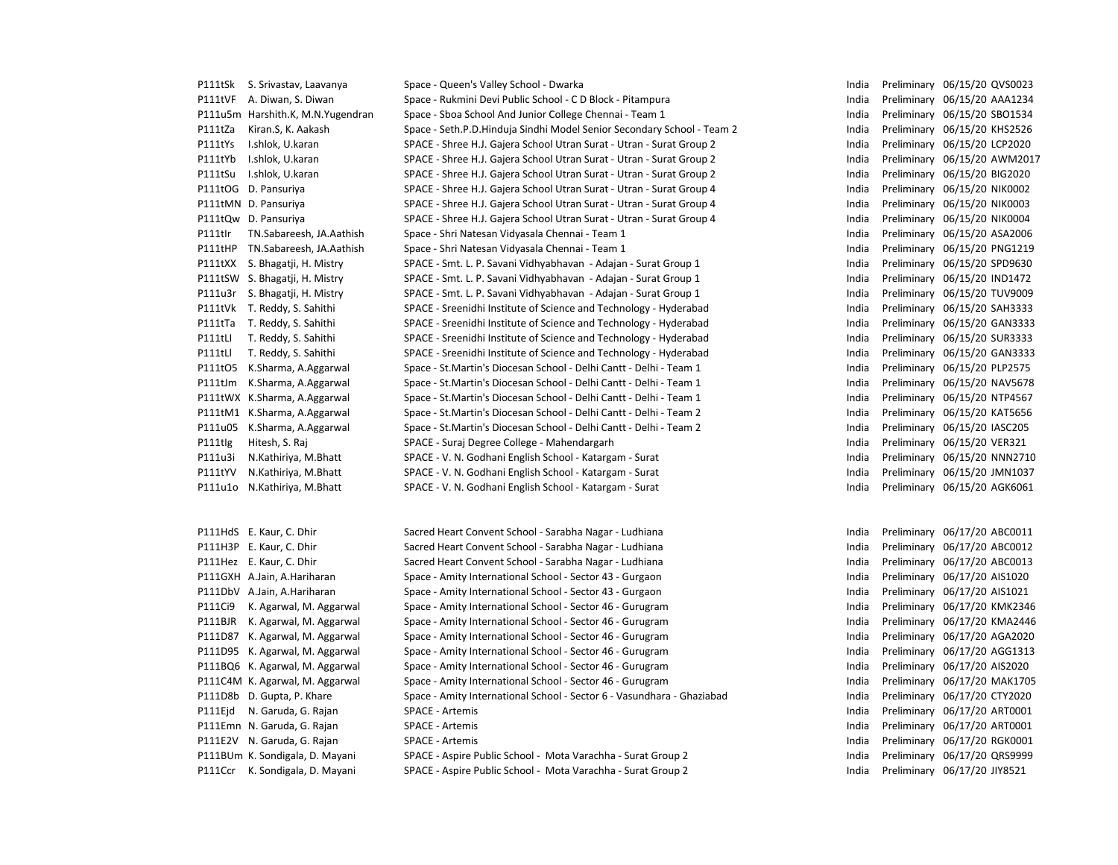|         | P111tSk S. Srivastav, Laavanya    | Space - Queen's Valley School - Dwarka                                 | India | Preliminary 06/15/20 QVS0023 |
|---------|-----------------------------------|------------------------------------------------------------------------|-------|------------------------------|
| P111tVF | A. Diwan, S. Diwan                | Space - Rukmini Devi Public School - C D Block - Pitampura             | India | Preliminary 06/15/20 AAA1234 |
|         | P111u5m Harshith.K, M.N.Yugendran | Space - Sboa School And Junior College Chennai - Team 1                | India | Preliminary 06/15/20 SBO1534 |
| P111tZa | Kiran.S, K. Aakash                | Space - Seth.P.D.Hinduja Sindhi Model Senior Secondary School - Team 2 | India | Preliminary 06/15/20 KHS2526 |
| P111tYs | I.shlok, U.karan                  | SPACE - Shree H.J. Gajera School Utran Surat - Utran - Surat Group 2   | India | Preliminary 06/15/20 LCP2020 |
| P111tYb | I.shlok, U.karan                  | SPACE - Shree H.J. Gajera School Utran Surat - Utran - Surat Group 2   | India | Preliminary 06/15/20 AWM2017 |
| P111tSu | I.shlok, U.karan                  | SPACE - Shree H.J. Gajera School Utran Surat - Utran - Surat Group 2   | India | Preliminary 06/15/20 BIG2020 |
|         | P111tOG D. Pansuriya              | SPACE - Shree H.J. Gajera School Utran Surat - Utran - Surat Group 4   | India | Preliminary 06/15/20 NIK0002 |
|         | P111tMN D. Pansuriya              | SPACE - Shree H.J. Gajera School Utran Surat - Utran - Surat Group 4   | India | Preliminary 06/15/20 NIK0003 |
|         | P111tQw D. Pansuriya              | SPACE - Shree H.J. Gajera School Utran Surat - Utran - Surat Group 4   | India | Preliminary 06/15/20 NIK0004 |
| P111tlr | TN.Sabareesh, JA.Aathish          | Space - Shri Natesan Vidyasala Chennai - Team 1                        | India | Preliminary 06/15/20 ASA2006 |
| P111tHP | TN.Sabareesh, JA.Aathish          | Space - Shri Natesan Vidyasala Chennai - Team 1                        | India | Preliminary 06/15/20 PNG1219 |
| P111tXX | S. Bhagatji, H. Mistry            | SPACE - Smt. L. P. Savani Vidhyabhavan - Adajan - Surat Group 1        | India | Preliminary 06/15/20 SPD9630 |
|         | P111tSW S. Bhagatji, H. Mistry    | SPACE - Smt. L. P. Savani Vidhyabhavan - Adajan - Surat Group 1        | India | Preliminary 06/15/20 IND1472 |
| P111u3r | S. Bhagatji, H. Mistry            | SPACE - Smt. L. P. Savani Vidhyabhavan - Adajan - Surat Group 1        | India | Preliminary 06/15/20 TUV9009 |
| P111tVk | T. Reddy, S. Sahithi              | SPACE - Sreenidhi Institute of Science and Technology - Hyderabad      | India | Preliminary 06/15/20 SAH3333 |
| P111tTa | T. Reddy, S. Sahithi              | SPACE - Sreenidhi Institute of Science and Technology - Hyderabad      | India | Preliminary 06/15/20 GAN3333 |
| P111tLI | T. Reddy, S. Sahithi              | SPACE - Sreenidhi Institute of Science and Technology - Hyderabad      | India | Preliminary 06/15/20 SUR3333 |
| P111tLl | T. Reddy, S. Sahithi              | SPACE - Sreenidhi Institute of Science and Technology - Hyderabad      | India | Preliminary 06/15/20 GAN3333 |
| P111tO5 | K.Sharma, A.Aggarwal              | Space - St. Martin's Diocesan School - Delhi Cantt - Delhi - Team 1    | India | Preliminary 06/15/20 PLP2575 |
| P111tJm | K.Sharma, A.Aggarwal              | Space - St. Martin's Diocesan School - Delhi Cantt - Delhi - Team 1    | India | Preliminary 06/15/20 NAV5678 |
|         | P111tWX K.Sharma, A.Aggarwal      | Space - St. Martin's Diocesan School - Delhi Cantt - Delhi - Team 1    | India | Preliminary 06/15/20 NTP4567 |
|         | P111tM1 K.Sharma, A.Aggarwal      | Space - St.Martin's Diocesan School - Delhi Cantt - Delhi - Team 2     | India | Preliminary 06/15/20 KAT5656 |
| P111u05 | K.Sharma, A.Aggarwal              | Space - St.Martin's Diocesan School - Delhi Cantt - Delhi - Team 2     | India | Preliminary 06/15/20 IASC205 |
| P111tlg | Hitesh, S. Raj                    | SPACE - Suraj Degree College - Mahendargarh                            | India | Preliminary 06/15/20 VER321  |
| P111u3i | N.Kathiriya, M.Bhatt              | SPACE - V. N. Godhani English School - Katargam - Surat                | India | Preliminary 06/15/20 NNN2710 |
| P111tYV | N.Kathiriya, M.Bhatt              | SPACE - V. N. Godhani English School - Katargam - Surat                | India | Preliminary 06/15/20 JMN1037 |
| P111u1o | N.Kathiriya, M.Bhatt              | SPACE - V. N. Godhani English School - Katargam - Surat                | India | Preliminary 06/15/20 AGK6061 |
|         |                                   |                                                                        |       |                              |
|         | P111HdS E. Kaur, C. Dhir          | Sacred Heart Convent School - Sarabha Nagar - Ludhiana                 | India | Preliminary 06/17/20 ABC0011 |
|         | P111H3P E. Kaur, C. Dhir          | Sacred Heart Convent School - Sarabha Nagar - Ludhiana                 | India | Preliminary 06/17/20 ABC0012 |
|         | P111Hez E. Kaur, C. Dhir          | Sacred Heart Convent School - Sarabha Nagar - Ludhiana                 | India | Preliminary 06/17/20 ABC0013 |
|         | P111GXH A.Jain, A.Hariharan       | Space - Amity International School - Sector 43 - Gurgaon               | India | Preliminary 06/17/20 AIS1020 |
|         | P111DbV A.Jain, A.Hariharan       | Space - Amity International School - Sector 43 - Gurgaon               | India | Preliminary 06/17/20 AIS1021 |
| P111Ci9 | K. Agarwal, M. Aggarwal           | Space - Amity International School - Sector 46 - Gurugram              | India | Preliminary 06/17/20 KMK2346 |
| P111BJR | K. Agarwal, M. Aggarwal           | Space - Amity International School - Sector 46 - Gurugram              | India | Preliminary 06/17/20 KMA2446 |
|         | P111D87 K. Agarwal, M. Aggarwal   | Space - Amity International School - Sector 46 - Gurugram              | India | Preliminary 06/17/20 AGA2020 |
|         | P111D95 K. Agarwal, M. Aggarwal   | Space - Amity International School - Sector 46 - Gurugram              | India | Preliminary 06/17/20 AGG1313 |
|         | P111BQ6 K. Agarwal, M. Aggarwal   | Space - Amity International School - Sector 46 - Gurugram              | India | Preliminary 06/17/20 AIS2020 |
|         | P111C4M K. Agarwal, M. Aggarwal   | Space - Amity International School - Sector 46 - Gurugram              | India | Preliminary 06/17/20 MAK1705 |
|         | P111D8b D. Gupta, P. Khare        | Space - Amity International School - Sector 6 - Vasundhara - Ghaziabad | India | Preliminary 06/17/20 CTY2020 |
| P111Ejd | N. Garuda, G. Rajan               | <b>SPACE - Artemis</b>                                                 | India | Preliminary 06/17/20 ART0001 |
|         | P111Emn N. Garuda, G. Rajan       | SPACE - Artemis                                                        | India | Preliminary 06/17/20 ART0001 |
|         | P111E2V N. Garuda, G. Rajan       | <b>SPACE - Artemis</b>                                                 | India | Preliminary 06/17/20 RGK0001 |
|         | P111BUm K. Sondigala, D. Mayani   | SPACE - Aspire Public School - Mota Varachha - Surat Group 2           | India | Preliminary 06/17/20 QRS9999 |
|         | P111Ccr K. Sondigala, D. Mayani   | SPACE - Aspire Public School - Mota Varachha - Surat Group 2           | India | Preliminary 06/17/20 JIY8521 |

| India | Preliminary | 06/15/20         | QVS0023        |
|-------|-------------|------------------|----------------|
| India | Preliminary | 06/15/20         | AAA1234        |
| India | Preliminary | 06/15/20         | SBO1534        |
| India | Preliminary | 06/15/20         | KHS2526        |
| India | Preliminary | 06/15/20         | LCP2020        |
| India | Preliminary | 06/15/20         | AWM2017        |
| India | Preliminary | 06/15/20         | <b>BIG2020</b> |
| India | Preliminary | 06/15/20         | NIK0002        |
| India | Preliminary | 06/15/20         | NIK0003        |
| India | Preliminary | 06/15/20         | NIK0004        |
| India | Preliminary | 06/15/20         | ASA2006        |
| India | Preliminary | 06/15/20         | PNG1219        |
| India | Preliminary | 06/15/20         | SPD9630        |
| India | Preliminary | 06/15/20         | <b>IND1472</b> |
| India | Preliminary | 06/15/20         | <b>TUV9009</b> |
| India | Preliminary | 06/15/20         | <b>SAH3333</b> |
| India | Preliminary | 06/15/20         | GAN3333        |
| India | Preliminary | 06/15/20         | SUR3333        |
| India | Preliminary | 06/15/20         | GAN3333        |
| India | Preliminary | 06/15/20         | <b>PLP2575</b> |
| India | Preliminary | 06/15/20         | <b>NAV5678</b> |
| India | Preliminary | 06/15/20         | NTP4567        |
| India | Preliminary | 06/15/20         | KAT5656        |
| India | Preliminary | 06/15/20         | <b>IASC205</b> |
| India | Preliminary | 06/15/20         | <b>VER321</b>  |
| India | Preliminary | 06/15/20         | NNN2710        |
| India | Preliminary | 06/15/20         | JMN1037        |
| India | Preliminary | 06/15/20         | AGK6061        |
|       |             |                  |                |
|       |             |                  |                |
| India | Preliminary | 06/17/20 ABC0011 |                |
| India | Preliminary | 06/17/20         | ABC0012        |
| India | Preliminary | 06/17/20 ABC0013 |                |
| India | Preliminary | 06/17/20         | AIS1020        |
| India | Preliminary | 06/17/20         | AIS1021        |
| India | Preliminary | 06/17/20         | KMK2346        |
| India | Preliminary | 06/17/20         | KMA2446        |
| India | Preliminary | 06/17/20         | AGA2020        |
| India | Preliminary | 06/17/20         | AGG1313        |
| India | Preliminary | 06/17/20         | AIS2020        |
| India | Preliminary | 06/17/20         | MAK1705        |
| India | Preliminary | 06/17/20         | CTY2020        |
| India | Preliminary | 06/17/20         | ART0001        |
| India | Preliminary | 06/17/20         | ART0001        |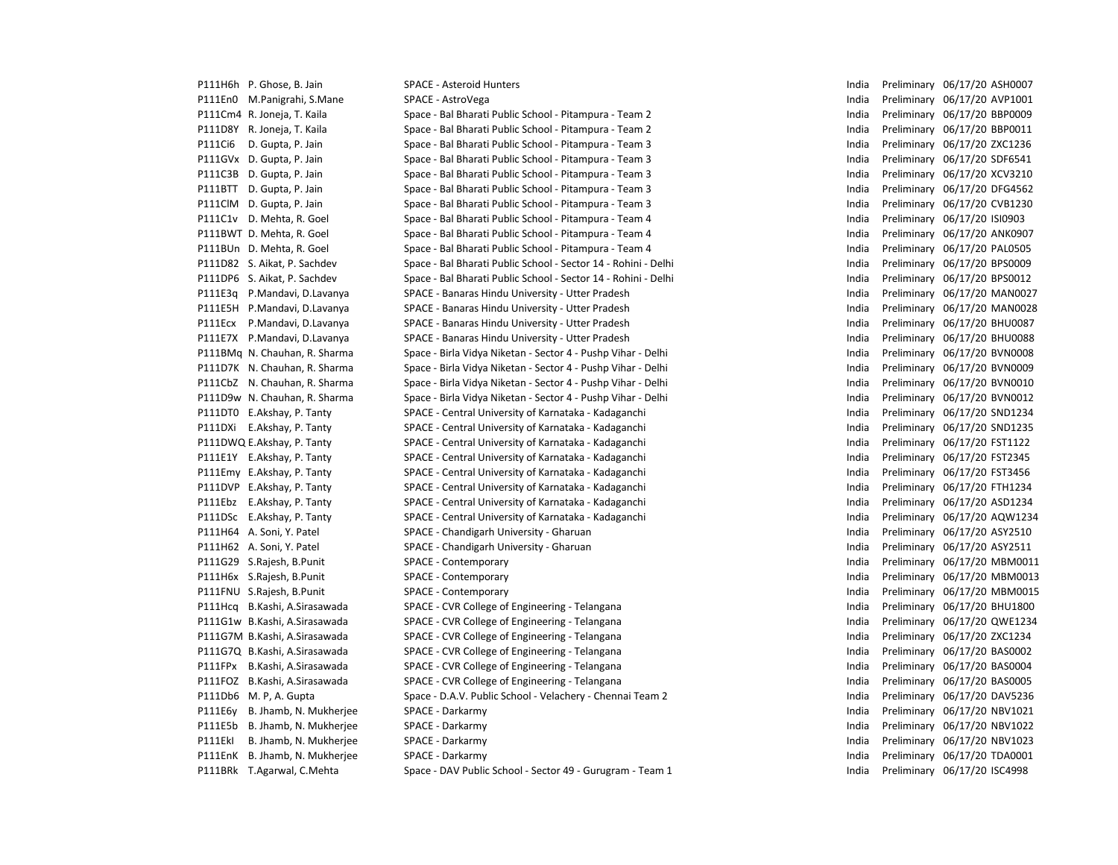|         | P111H6h P. Ghose, B. Jain      | <b>SPACE - Asteroid Hunters</b>                                | India | Preliminary 06/17/20 ASH0007 |
|---------|--------------------------------|----------------------------------------------------------------|-------|------------------------------|
|         | P111En0 M.Panigrahi, S.Mane    | SPACE - AstroVega                                              | India | Preliminary 06/17/20 AVP1001 |
|         | P111Cm4 R. Joneja, T. Kaila    | Space - Bal Bharati Public School - Pitampura - Team 2         | India | Preliminary 06/17/20 BBP0009 |
|         | P111D8Y R. Joneja, T. Kaila    | Space - Bal Bharati Public School - Pitampura - Team 2         | India | Preliminary 06/17/20 BBP0011 |
| P111Ci6 | D. Gupta, P. Jain              | Space - Bal Bharati Public School - Pitampura - Team 3         | India | Preliminary 06/17/20 ZXC1236 |
|         | P111GVx D. Gupta, P. Jain      | Space - Bal Bharati Public School - Pitampura - Team 3         | India | Preliminary 06/17/20 SDF6541 |
|         | P111C3B D. Gupta, P. Jain      | Space - Bal Bharati Public School - Pitampura - Team 3         | India | Preliminary 06/17/20 XCV3210 |
|         | P111BTT D. Gupta, P. Jain      | Space - Bal Bharati Public School - Pitampura - Team 3         | India | Preliminary 06/17/20 DFG4562 |
|         | P111ClM D. Gupta, P. Jain      | Space - Bal Bharati Public School - Pitampura - Team 3         | India | Preliminary 06/17/20 CVB1230 |
|         | P111C1v D. Mehta, R. Goel      | Space - Bal Bharati Public School - Pitampura - Team 4         | India | Preliminary 06/17/20 ISI0903 |
|         | P111BWT D. Mehta, R. Goel      | Space - Bal Bharati Public School - Pitampura - Team 4         | India | Preliminary 06/17/20 ANK0907 |
|         | P111BUn D. Mehta, R. Goel      | Space - Bal Bharati Public School - Pitampura - Team 4         | India | Preliminary 06/17/20 PAL0505 |
|         | P111D82 S. Aikat, P. Sachdev   | Space - Bal Bharati Public School - Sector 14 - Rohini - Delhi | India | Preliminary 06/17/20 BPS0009 |
|         | P111DP6 S. Aikat, P. Sachdev   | Space - Bal Bharati Public School - Sector 14 - Rohini - Delhi | India | Preliminary 06/17/20 BPS0012 |
| P111E3q | P.Mandavi, D.Lavanya           | SPACE - Banaras Hindu University - Utter Pradesh               | India | Preliminary 06/17/20 MAN0027 |
|         | P111E5H P.Mandavi, D.Lavanya   | SPACE - Banaras Hindu University - Utter Pradesh               | India | Preliminary 06/17/20 MAN0028 |
| P111Ecx | P.Mandavi, D.Lavanya           | SPACE - Banaras Hindu University - Utter Pradesh               | India | Preliminary 06/17/20 BHU0087 |
|         | P111E7X P.Mandavi, D.Lavanya   | SPACE - Banaras Hindu University - Utter Pradesh               | India | Preliminary 06/17/20 BHU0088 |
|         | P111BMq N. Chauhan, R. Sharma  | Space - Birla Vidya Niketan - Sector 4 - Pushp Vihar - Delhi   | India | Preliminary 06/17/20 BVN0008 |
|         | P111D7K N. Chauhan, R. Sharma  | Space - Birla Vidya Niketan - Sector 4 - Pushp Vihar - Delhi   | India | Preliminary 06/17/20 BVN0009 |
|         | P111CbZ N. Chauhan, R. Sharma  | Space - Birla Vidya Niketan - Sector 4 - Pushp Vihar - Delhi   | India | Preliminary 06/17/20 BVN0010 |
|         | P111D9w N. Chauhan, R. Sharma  | Space - Birla Vidya Niketan - Sector 4 - Pushp Vihar - Delhi   | India | Preliminary 06/17/20 BVN0012 |
|         | P111DT0 E.Akshay, P. Tanty     | SPACE - Central University of Karnataka - Kadaganchi           | India | Preliminary 06/17/20 SND1234 |
|         | P111DXi E.Akshay, P. Tanty     | SPACE - Central University of Karnataka - Kadaganchi           | India | Preliminary 06/17/20 SND1235 |
|         | P111DWQ E.Akshay, P. Tanty     | SPACE - Central University of Karnataka - Kadaganchi           | India | Preliminary 06/17/20 FST1122 |
|         | P111E1Y E.Akshay, P. Tanty     | SPACE - Central University of Karnataka - Kadaganchi           | India | Preliminary 06/17/20 FST2345 |
|         | P111Emy E.Akshay, P. Tanty     | SPACE - Central University of Karnataka - Kadaganchi           | India | Preliminary 06/17/20 FST3456 |
|         | P111DVP E.Akshay, P. Tanty     | SPACE - Central University of Karnataka - Kadaganchi           | India | Preliminary 06/17/20 FTH1234 |
|         | P111Ebz E.Akshay, P. Tanty     | SPACE - Central University of Karnataka - Kadaganchi           | India | Preliminary 06/17/20 ASD1234 |
|         | P111DSc E.Akshay, P. Tanty     | SPACE - Central University of Karnataka - Kadaganchi           | India | Preliminary 06/17/20 AQW1234 |
|         | P111H64 A. Soni, Y. Patel      | SPACE - Chandigarh University - Gharuan                        | India | Preliminary 06/17/20 ASY2510 |
|         | P111H62 A. Soni, Y. Patel      | SPACE - Chandigarh University - Gharuan                        | India | Preliminary 06/17/20 ASY2511 |
|         | P111G29 S.Rajesh, B.Punit      | SPACE - Contemporary                                           | India | Preliminary 06/17/20 MBM0011 |
|         | P111H6x S.Rajesh, B.Punit      | SPACE - Contemporary                                           | India | Preliminary 06/17/20 MBM0013 |
|         | P111FNU S.Rajesh, B.Punit      | SPACE - Contemporary                                           | India | Preliminary 06/17/20 MBM0015 |
| P111Hcq | B.Kashi, A.Sirasawada          | SPACE - CVR College of Engineering - Telangana                 | India | Preliminary 06/17/20 BHU1800 |
|         | P111G1w B.Kashi, A.Sirasawada  | SPACE - CVR College of Engineering - Telangana                 | India | Preliminary 06/17/20 QWE1234 |
|         | P111G7M B.Kashi, A.Sirasawada  | SPACE - CVR College of Engineering - Telangana                 | India | Preliminary 06/17/20 ZXC1234 |
|         | P111G7Q B.Kashi, A.Sirasawada  | SPACE - CVR College of Engineering - Telangana                 | India | Preliminary 06/17/20 BAS0002 |
| P111FPx | B.Kashi, A.Sirasawada          | SPACE - CVR College of Engineering - Telangana                 | India | Preliminary 06/17/20 BAS0004 |
|         | P111FOZ B.Kashi, A.Sirasawada  | SPACE - CVR College of Engineering - Telangana                 | India | Preliminary 06/17/20 BAS0005 |
|         | P111Db6 M. P, A. Gupta         | Space - D.A.V. Public School - Velachery - Chennai Team 2      | India | Preliminary 06/17/20 DAV5236 |
| P111E6y | B. Jhamb, N. Mukherjee         | SPACE - Darkarmy                                               | India | Preliminary 06/17/20 NBV1021 |
| P111E5b | B. Jhamb, N. Mukherjee         | SPACE - Darkarmy                                               | India | Preliminary 06/17/20 NBV1022 |
| P111EkI | B. Jhamb, N. Mukherjee         | SPACE - Darkarmy                                               | India | Preliminary 06/17/20 NBV1023 |
|         | P111EnK B. Jhamb, N. Mukherjee | SPACE - Darkarmy                                               | India | Preliminary 06/17/20 TDA0001 |
|         | P111BRk T.Agarwal, C.Mehta     | Space - DAV Public School - Sector 49 - Gurugram - Team 1      | India | Preliminary 06/17/20 ISC4998 |

| India | Preliminary | 06/17/20 | ASH0007        |
|-------|-------------|----------|----------------|
| India | Preliminary | 06/17/20 | AVP1001        |
| India | Preliminary | 06/17/20 | <b>BBP0009</b> |
| India | Preliminary | 06/17/20 | BBP0011        |
| India | Preliminary | 06/17/20 | ZXC1236        |
| India | Preliminary | 06/17/20 | SDF6541        |
| India | Preliminary | 06/17/20 | XCV3210        |
| India | Preliminary | 06/17/20 | DFG4562        |
| India | Preliminary | 06/17/20 | CVB1230        |
| India | Preliminary | 06/17/20 | <b>ISI0903</b> |
| India | Preliminary | 06/17/20 | ANK0907        |
| India | Preliminary | 06/17/20 | <b>PAL0505</b> |
| India | Preliminary | 06/17/20 | BPS0009        |
| India | Preliminary | 06/17/20 | BPS0012        |
| India | Preliminary | 06/17/20 | MAN0027        |
| India | Preliminary | 06/17/20 | <b>MAN0028</b> |
| India | Preliminary | 06/17/20 | <b>BHU0087</b> |
| India | Preliminary | 06/17/20 | <b>BHU0088</b> |
| India | Preliminary | 06/17/20 | <b>BVN0008</b> |
| India | Preliminary | 06/17/20 | <b>BVN0009</b> |
| India | Preliminary | 06/17/20 | <b>BVN0010</b> |
| India | Preliminary | 06/17/20 | <b>BVN0012</b> |
| India | Preliminary | 06/17/20 | SND1234        |
| India | Preliminary | 06/17/20 | SND1235        |
| India | Preliminary | 06/17/20 | FST1122        |
| India | Preliminary | 06/17/20 | FST2345        |
| India | Preliminary | 06/17/20 | FST3456        |
| India | Preliminary | 06/17/20 | FTH1234        |
| India | Preliminary | 06/17/20 | ASD1234        |
| India | Preliminary | 06/17/20 | AQW1234        |
| India | Preliminary | 06/17/20 | ASY2510        |
| India | Preliminary | 06/17/20 | ASY2511        |
| India | Preliminary | 06/17/20 | MBM0011        |
| India | Preliminary | 06/17/20 | MBM0013        |
| India | Preliminary | 06/17/20 | MBM0015        |
| India | Preliminary | 06/17/20 | <b>BHU1800</b> |
| India | Preliminary | 06/17/20 | QWE1234        |
| India | Preliminary | 06/17/20 | ZXC1234        |
| India | Preliminary | 06/17/20 | BAS0002        |
| India | Preliminary | 06/17/20 | <b>BAS0004</b> |
| India | Preliminary | 06/17/20 | <b>BAS0005</b> |
| India | Preliminary | 06/17/20 | DAV5236        |
| India | Preliminary | 06/17/20 | NBV1021        |
| India | Preliminary | 06/17/20 | <b>NBV1022</b> |
| India | Preliminary | 06/17/20 | NBV1023        |
| India | Preliminary | 06/17/20 | TDA0001        |
| India | Preliminary | 06/17/20 | <b>ISC4998</b> |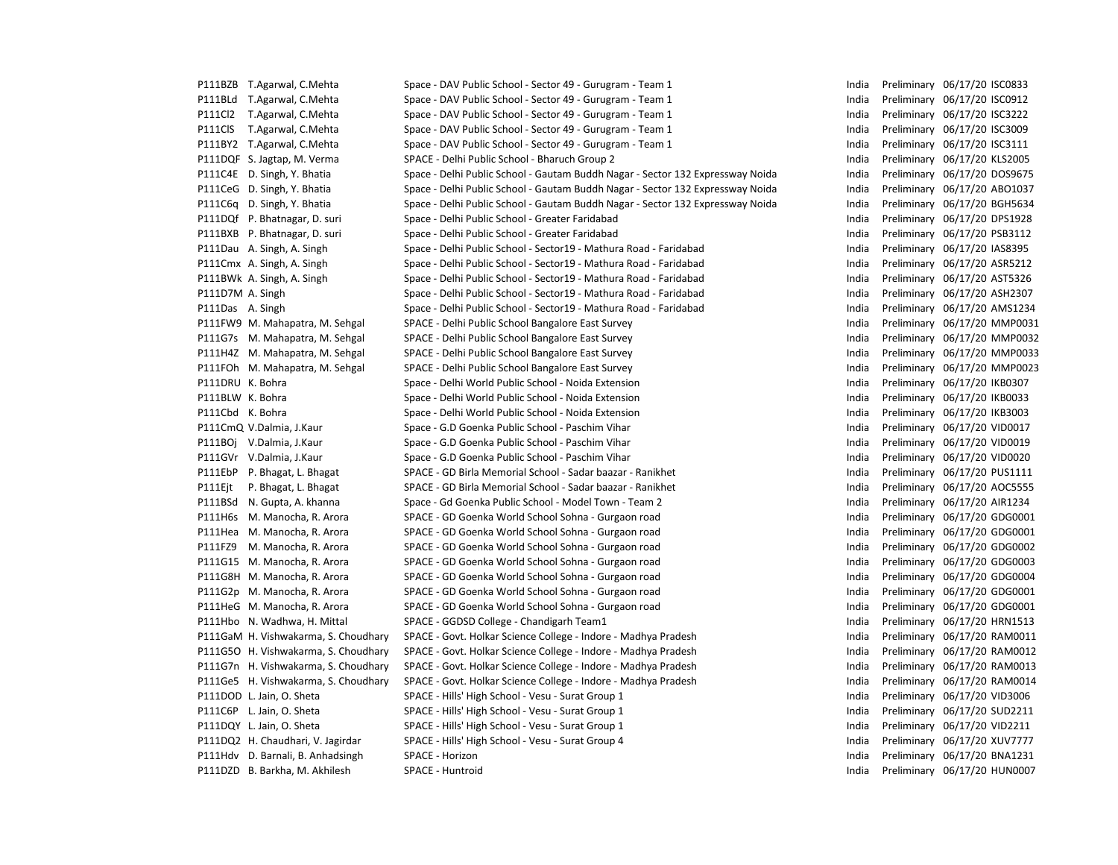|                  | P111BZB T.Agarwal, C.Mehta           | Space - DAV Public School - Sector 49 - Gurugram - Team 1                      | India | Preliminary 06/17/20 ISC0833 |
|------------------|--------------------------------------|--------------------------------------------------------------------------------|-------|------------------------------|
|                  | P111BLd T.Agarwal, C.Mehta           | Space - DAV Public School - Sector 49 - Gurugram - Team 1                      | India | Preliminary 06/17/20 ISC0912 |
|                  | P111Cl2 T.Agarwal, C.Mehta           | Space - DAV Public School - Sector 49 - Gurugram - Team 1                      | India | Preliminary 06/17/20 ISC3222 |
| P111ClS          | T.Agarwal, C.Mehta                   | Space - DAV Public School - Sector 49 - Gurugram - Team 1                      | India | Preliminary 06/17/20 ISC3009 |
|                  | P111BY2 T.Agarwal, C.Mehta           | Space - DAV Public School - Sector 49 - Gurugram - Team 1                      | India | Preliminary 06/17/20 ISC3111 |
|                  | P111DQF S. Jagtap, M. Verma          | SPACE - Delhi Public School - Bharuch Group 2                                  | India | Preliminary 06/17/20 KLS2005 |
|                  | P111C4E D. Singh, Y. Bhatia          | Space - Delhi Public School - Gautam Buddh Nagar - Sector 132 Expressway Noida | India | Preliminary 06/17/20 DOS967  |
|                  | P111CeG D. Singh, Y. Bhatia          | Space - Delhi Public School - Gautam Buddh Nagar - Sector 132 Expressway Noida | India | Preliminary 06/17/20 ABO103  |
|                  | P111C6q D. Singh, Y. Bhatia          | Space - Delhi Public School - Gautam Buddh Nagar - Sector 132 Expressway Noida | India | Preliminary 06/17/20 BGH563  |
|                  | P111DQf P. Bhatnagar, D. suri        | Space - Delhi Public School - Greater Faridabad                                | India | Preliminary 06/17/20 DPS1928 |
|                  | P111BXB P. Bhatnagar, D. suri        | Space - Delhi Public School - Greater Faridabad                                | India | Preliminary 06/17/20 PSB3112 |
|                  | P111Dau A. Singh, A. Singh           | Space - Delhi Public School - Sector19 - Mathura Road - Faridabad              | India | Preliminary 06/17/20 IAS8395 |
|                  | P111Cmx A. Singh, A. Singh           | Space - Delhi Public School - Sector19 - Mathura Road - Faridabad              | India | Preliminary 06/17/20 ASR5212 |
|                  | P111BWk A. Singh, A. Singh           | Space - Delhi Public School - Sector19 - Mathura Road - Faridabad              | India | Preliminary 06/17/20 AST5326 |
| P111D7M A. Singh |                                      | Space - Delhi Public School - Sector19 - Mathura Road - Faridabad              | India | Preliminary 06/17/20 ASH230  |
| P111Das A. Singh |                                      | Space - Delhi Public School - Sector19 - Mathura Road - Faridabad              | India | Preliminary 06/17/20 AMS123  |
|                  | P111FW9 M. Mahapatra, M. Sehgal      | SPACE - Delhi Public School Bangalore East Survey                              | India | Preliminary 06/17/20 MMP00   |
|                  | P111G7s M. Mahapatra, M. Sehgal      | SPACE - Delhi Public School Bangalore East Survey                              | India | Preliminary 06/17/20 MMP00   |
|                  | P111H4Z M. Mahapatra, M. Sehgal      | SPACE - Delhi Public School Bangalore East Survey                              | India | Preliminary 06/17/20 MMP00   |
|                  | P111FOh M. Mahapatra, M. Sehgal      | SPACE - Delhi Public School Bangalore East Survey                              | India | Preliminary 06/17/20 MMP00   |
| P111DRU K. Bohra |                                      | Space - Delhi World Public School - Noida Extension                            | India | Preliminary 06/17/20 IKB0307 |
| P111BLW K. Bohra |                                      | Space - Delhi World Public School - Noida Extension                            | India | Preliminary 06/17/20 IKB0033 |
| P111Cbd K. Bohra |                                      | Space - Delhi World Public School - Noida Extension                            | India | Preliminary 06/17/20 IKB3003 |
|                  | P111CmQ V.Dalmia, J.Kaur             | Space - G.D Goenka Public School - Paschim Vihar                               | India | Preliminary 06/17/20 VID0017 |
|                  | P111BOj V.Dalmia, J.Kaur             | Space - G.D Goenka Public School - Paschim Vihar                               | India | Preliminary 06/17/20 VID0019 |
|                  | P111GVr V.Dalmia, J.Kaur             | Space - G.D Goenka Public School - Paschim Vihar                               | India | Preliminary 06/17/20 VID0020 |
|                  | P111EbP P. Bhagat, L. Bhagat         | SPACE - GD Birla Memorial School - Sadar baazar - Ranikhet                     | India | Preliminary 06/17/20 PUS111  |
| P111Ejt          | P. Bhagat, L. Bhagat                 | SPACE - GD Birla Memorial School - Sadar baazar - Ranikhet                     | India | Preliminary 06/17/20 AOC555  |
|                  | P111BSd N. Gupta, A. khanna          | Space - Gd Goenka Public School - Model Town - Team 2                          | India | Preliminary 06/17/20 AIR1234 |
|                  | P111H6s M. Manocha, R. Arora         | SPACE - GD Goenka World School Sohna - Gurgaon road                            | India | Preliminary 06/17/20 GDG000  |
|                  | P111Hea M. Manocha, R. Arora         | SPACE - GD Goenka World School Sohna - Gurgaon road                            | India | Preliminary 06/17/20 GDG000  |
|                  | P111FZ9 M. Manocha, R. Arora         | SPACE - GD Goenka World School Sohna - Gurgaon road                            | India | Preliminary 06/17/20 GDG000  |
|                  | P111G15 M. Manocha, R. Arora         | SPACE - GD Goenka World School Sohna - Gurgaon road                            | India | Preliminary 06/17/20 GDG000  |
|                  | P111G8H M. Manocha, R. Arora         | SPACE - GD Goenka World School Sohna - Gurgaon road                            | India | Preliminary 06/17/20 GDG000  |
|                  | P111G2p M. Manocha, R. Arora         | SPACE - GD Goenka World School Sohna - Gurgaon road                            | India | Preliminary 06/17/20 GDG000  |
|                  | P111HeG M. Manocha, R. Arora         | SPACE - GD Goenka World School Sohna - Gurgaon road                            | India | Preliminary 06/17/20 GDG000  |
|                  | P111Hbo N. Wadhwa, H. Mittal         | SPACE - GGDSD College - Chandigarh Team1                                       | India | Preliminary 06/17/20 HRN151  |
|                  | P111GaM H. Vishwakarma, S. Choudhary | SPACE - Govt. Holkar Science College - Indore - Madhya Pradesh                 | India | Preliminary 06/17/20 RAM001  |
|                  | P111G5O H. Vishwakarma, S. Choudhary | SPACE - Govt. Holkar Science College - Indore - Madhya Pradesh                 | India | Preliminary 06/17/20 RAM001  |
|                  | P111G7n H. Vishwakarma, S. Choudhary | SPACE - Govt. Holkar Science College - Indore - Madhya Pradesh                 | India | Preliminary 06/17/20 RAM001  |
|                  | P111Ge5 H. Vishwakarma, S. Choudhary | SPACE - Govt. Holkar Science College - Indore - Madhya Pradesh                 | India | Preliminary 06/17/20 RAM001  |
|                  | P111DOD L. Jain, O. Sheta            | SPACE - Hills' High School - Vesu - Surat Group 1                              | India | Preliminary 06/17/20 VID3006 |
|                  | P111C6P L. Jain, O. Sheta            | SPACE - Hills' High School - Vesu - Surat Group 1                              | India | Preliminary 06/17/20 SUD221  |
|                  | P111DQY L. Jain, O. Sheta            | SPACE - Hills' High School - Vesu - Surat Group 1                              | India | Preliminary 06/17/20 VID2211 |
|                  | P111DQ2 H. Chaudhari, V. Jagirdar    | SPACE - Hills' High School - Vesu - Surat Group 4                              | India | Preliminary 06/17/20 XUV777  |
|                  | P111Hdv D. Barnali, B. Anhadsingh    | SPACE - Horizon                                                                | India | Preliminary 06/17/20 BNA123  |
|                  | P111DZD B. Barkha, M. Akhilesh       | SPACE - Huntroid                                                               | India | Preliminary 06/17/20 HUN000  |
|                  |                                      |                                                                                |       |                              |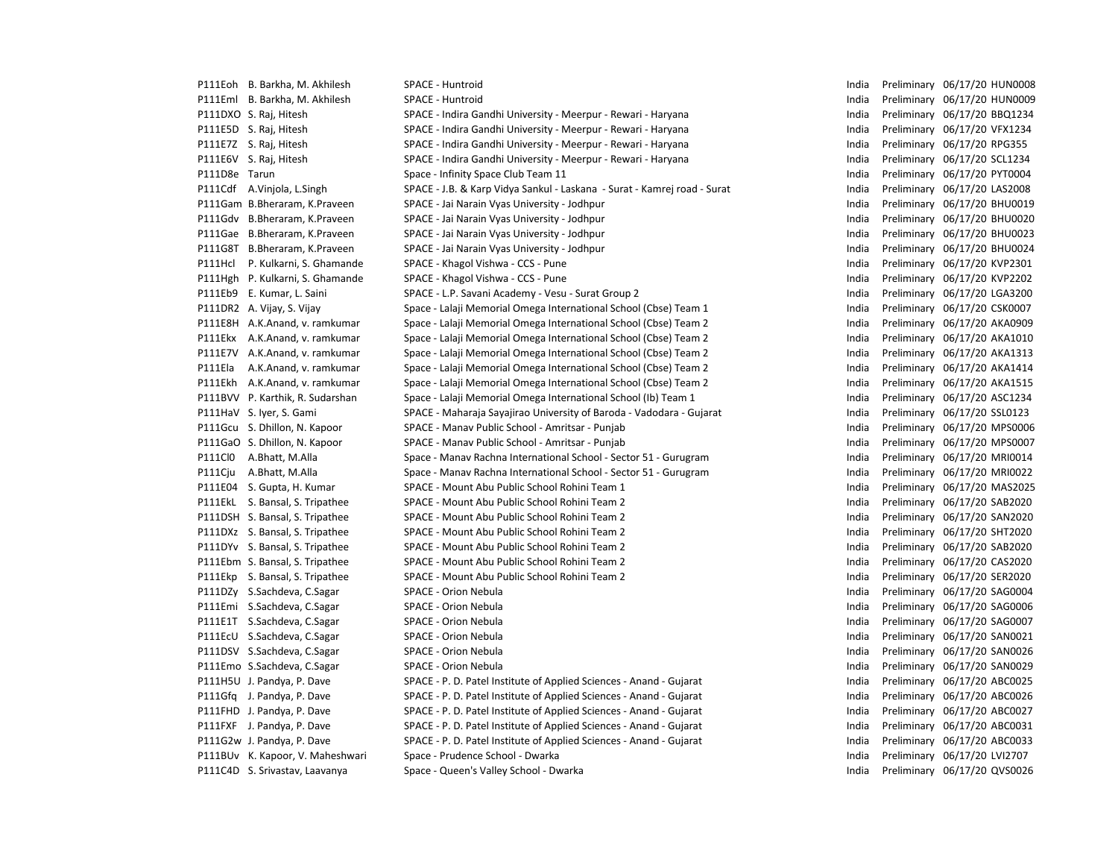|                | P111Eoh B. Barkha, M. Akhilesh   | SPACE - Huntroid                                                         | India | Preliminary 06/17/20 HUN0008 |
|----------------|----------------------------------|--------------------------------------------------------------------------|-------|------------------------------|
|                | P111Eml B. Barkha, M. Akhilesh   | SPACE - Huntroid                                                         | India | Preliminary 06/17/20 HUN0009 |
|                | P111DXO S. Raj, Hitesh           | SPACE - Indira Gandhi University - Meerpur - Rewari - Haryana            | India | Preliminary 06/17/20 BBQ1234 |
|                | P111E5D S. Raj, Hitesh           | SPACE - Indira Gandhi University - Meerpur - Rewari - Haryana            | India | Preliminary 06/17/20 VFX1234 |
|                | P111E7Z S. Raj, Hitesh           | SPACE - Indira Gandhi University - Meerpur - Rewari - Haryana            | India | Preliminary 06/17/20 RPG355  |
|                | P111E6V S. Raj, Hitesh           | SPACE - Indira Gandhi University - Meerpur - Rewari - Haryana            | India | Preliminary 06/17/20 SCL1234 |
| P111D8e Tarun  |                                  | Space - Infinity Space Club Team 11                                      | India | Preliminary 06/17/20 PYT0004 |
|                | P111Cdf A.Vinjola, L.Singh       | SPACE - J.B. & Karp Vidya Sankul - Laskana - Surat - Kamrej road - Surat | India | Preliminary 06/17/20 LAS2008 |
|                | P111Gam B.Bheraram, K.Praveen    | SPACE - Jai Narain Vyas University - Jodhpur                             | India | Preliminary 06/17/20 BHU0019 |
|                | P111Gdv B.Bheraram, K.Praveen    | SPACE - Jai Narain Vyas University - Jodhpur                             | India | Preliminary 06/17/20 BHU0020 |
|                | P111Gae B.Bheraram, K.Praveen    | SPACE - Jai Narain Vyas University - Jodhpur                             | India | Preliminary 06/17/20 BHU0023 |
|                | P111G8T B.Bheraram, K.Praveen    | SPACE - Jai Narain Vyas University - Jodhpur                             | India | Preliminary 06/17/20 BHU0024 |
| P111Hcl        | P. Kulkarni, S. Ghamande         | SPACE - Khagol Vishwa - CCS - Pune                                       | India | Preliminary 06/17/20 KVP2301 |
|                | P111Hgh P. Kulkarni, S. Ghamande | SPACE - Khagol Vishwa - CCS - Pune                                       | India | Preliminary 06/17/20 KVP2202 |
|                | P111Eb9 E. Kumar, L. Saini       | SPACE - L.P. Savani Academy - Vesu - Surat Group 2                       | India | Preliminary 06/17/20 LGA3200 |
|                | P111DR2 A. Vijay, S. Vijay       | Space - Lalaji Memorial Omega International School (Cbse) Team 1         | India | Preliminary 06/17/20 CSK0007 |
|                | P111E8H A.K.Anand, v. ramkumar   | Space - Lalaji Memorial Omega International School (Cbse) Team 2         | India | Preliminary 06/17/20 AKA0909 |
|                | P111Ekx A.K.Anand, v. ramkumar   | Space - Lalaji Memorial Omega International School (Cbse) Team 2         | India | Preliminary 06/17/20 AKA1010 |
|                | P111E7V A.K.Anand, v. ramkumar   | Space - Lalaji Memorial Omega International School (Cbse) Team 2         | India | Preliminary 06/17/20 AKA1313 |
| P111Ela        | A.K.Anand, v. ramkumar           | Space - Lalaji Memorial Omega International School (Cbse) Team 2         | India | Preliminary 06/17/20 AKA1414 |
|                | P111Ekh A.K.Anand, v. ramkumar   | Space - Lalaji Memorial Omega International School (Cbse) Team 2         | India | Preliminary 06/17/20 AKA1515 |
|                | P111BVV P. Karthik, R. Sudarshan | Space - Lalaji Memorial Omega International School (Ib) Team 1           | India | Preliminary 06/17/20 ASC1234 |
|                | P111HaV S. Iyer, S. Gami         | SPACE - Maharaja Sayajirao University of Baroda - Vadodara - Gujarat     | India | Preliminary 06/17/20 SSL0123 |
|                | P111Gcu S. Dhillon, N. Kapoor    | SPACE - Manav Public School - Amritsar - Punjab                          | India | Preliminary 06/17/20 MPS0006 |
|                | P111GaO S. Dhillon, N. Kapoor    | SPACE - Manav Public School - Amritsar - Punjab                          | India | Preliminary 06/17/20 MPS0007 |
| <b>P111ClO</b> | A.Bhatt, M.Alla                  | Space - Manav Rachna International School - Sector 51 - Gurugram         | India | Preliminary 06/17/20 MRI0014 |
| P111Cju        | A.Bhatt, M.Alla                  | Space - Manav Rachna International School - Sector 51 - Gurugram         | India | Preliminary 06/17/20 MRI0022 |
|                | P111E04 S. Gupta, H. Kumar       | SPACE - Mount Abu Public School Rohini Team 1                            | India | Preliminary 06/17/20 MAS2025 |
|                | P111EkL S. Bansal, S. Tripathee  | SPACE - Mount Abu Public School Rohini Team 2                            | India | Preliminary 06/17/20 SAB2020 |
|                | P111DSH S. Bansal, S. Tripathee  | SPACE - Mount Abu Public School Rohini Team 2                            | India | Preliminary 06/17/20 SAN2020 |
|                | P111DXz S. Bansal, S. Tripathee  | SPACE - Mount Abu Public School Rohini Team 2                            | India | Preliminary 06/17/20 SHT2020 |
|                | P111DYv S. Bansal, S. Tripathee  | SPACE - Mount Abu Public School Rohini Team 2                            | India | Preliminary 06/17/20 SAB2020 |
|                | P111Ebm S. Bansal, S. Tripathee  | SPACE - Mount Abu Public School Rohini Team 2                            | India | Preliminary 06/17/20 CAS2020 |
|                | P111Ekp S. Bansal, S. Tripathee  | SPACE - Mount Abu Public School Rohini Team 2                            | India | Preliminary 06/17/20 SER2020 |
|                | P111DZy S.Sachdeva, C.Sagar      | SPACE - Orion Nebula                                                     | India | Preliminary 06/17/20 SAG0004 |
|                | P111Emi S.Sachdeva, C.Sagar      | SPACE - Orion Nebula                                                     | India | Preliminary 06/17/20 SAG0006 |
|                | P111E1T S.Sachdeva, C.Sagar      | SPACE - Orion Nebula                                                     | India | Preliminary 06/17/20 SAG0007 |
|                | P111EcU S.Sachdeva, C.Sagar      | SPACE - Orion Nebula                                                     | India | Preliminary 06/17/20 SAN0021 |
|                | P111DSV S.Sachdeva, C.Sagar      | SPACE - Orion Nebula                                                     | India | Preliminary 06/17/20 SAN0026 |
|                | P111Emo S.Sachdeva, C.Sagar      | SPACE - Orion Nebula                                                     | India | Preliminary 06/17/20 SAN0029 |
|                | P111H5U J. Pandya, P. Dave       | SPACE - P. D. Patel Institute of Applied Sciences - Anand - Gujarat      | India | Preliminary 06/17/20 ABC0025 |
|                | P111Gfq J. Pandya, P. Dave       | SPACE - P. D. Patel Institute of Applied Sciences - Anand - Gujarat      | India | Preliminary 06/17/20 ABC0026 |
|                | P111FHD J. Pandya, P. Dave       | SPACE - P. D. Patel Institute of Applied Sciences - Anand - Gujarat      | India | Preliminary 06/17/20 ABC0027 |
|                | P111FXF J. Pandya, P. Dave       | SPACE - P. D. Patel Institute of Applied Sciences - Anand - Gujarat      | India | Preliminary 06/17/20 ABC0031 |
|                | P111G2w J. Pandya, P. Dave       | SPACE - P. D. Patel Institute of Applied Sciences - Anand - Gujarat      | India | Preliminary 06/17/20 ABC0033 |
|                | P111BUv K. Kapoor, V. Maheshwari | Space - Prudence School - Dwarka                                         | India | Preliminary 06/17/20 LVI2707 |
|                | P111C4D S. Srivastav, Laavanya   | Space - Queen's Valley School - Dwarka                                   | India | Preliminary 06/17/20 QVS0026 |

| India | Preliminary | 06/17/20         | HUN0008        |
|-------|-------------|------------------|----------------|
| India | Preliminary | 06/17/20         | <b>HUN0009</b> |
| India | Preliminary | 06/17/20         | BBQ1234        |
| India | Preliminary | 06/17/20         | <b>VFX1234</b> |
| India | Preliminary | 06/17/20         | <b>RPG355</b>  |
| India | Preliminary | 06/17/20         | SCL1234        |
| India | Preliminary | 06/17/20         | PYT0004        |
| India | Preliminary | 06/17/20         | LAS2008        |
| India | Preliminary | 06/17/20         | <b>BHU0019</b> |
| India | Preliminary | 06/17/20         | <b>BHU0020</b> |
| India | Preliminary | 06/17/20         | <b>BHU0023</b> |
| India | Preliminary | 06/17/20         | <b>BHU0024</b> |
| India | Preliminary | 06/17/20         | KVP2301        |
| India | Preliminary | 06/17/20         | KVP2202        |
| India | Preliminary | 06/17/20         | LGA3200        |
| India | Preliminary | 06/17/20         | <b>CSK0007</b> |
| India | Preliminary | 06/17/20         | AKA0909        |
| India | Preliminary | 06/17/20         | AKA1010        |
| India | Preliminary | 06/17/20         | <b>AKA1313</b> |
| India | Preliminary | 06/17/20         | AKA1414        |
| India | Preliminary | 06/17/20         | <b>AKA1515</b> |
| India | Preliminary | 06/17/20         | ASC1234        |
| India | Preliminary | 06/17/20         | SSL0123        |
| India | Preliminary | 06/17/20         | MPS0006        |
| India | Preliminary | 06/17/20         | MPS0007        |
| India | Preliminary | 06/17/20         | MRI0014        |
| India | Preliminary | 06/17/20         | MRI0022        |
| India | Preliminary | 06/17/20         | MAS2025        |
| India | Preliminary | 06/17/20         | SAB2020        |
| India | Preliminary | 06/17/20         | SAN2020        |
| India | Preliminary | 06/17/20         | SHT2020        |
| India | Preliminary | 06/17/20         | SAB2020        |
| India | Preliminary | 06/17/20         | CAS2020        |
| India | Preliminary | 06/17/20         | SER2020        |
| India | Preliminary | 06/17/20         | SAG0004        |
| India | Preliminary | 06/17/20         | SAG0006        |
| India | Preliminary | 06/17/20         | SAG0007        |
| India | Preliminary | 06/17/20         | SAN0021        |
| India | Preliminary | 06/17/20         | <b>SAN0026</b> |
| India | Preliminary | 06/17/20         | SAN0029        |
| India | Preliminary | 06/17/20         | ABC0025        |
| India | Preliminary | 06/17/20         | ABC0026        |
| India | Preliminary | 06/17/20         | ABC0027        |
| India | Preliminary | 06/17/20         | ABC0031        |
| India | Preliminary | 06/17/20         | ABC0033        |
| India | Preliminary | 06/17/20         | LVI2707        |
| India | Preliminary | 06/17/20 QVS0026 |                |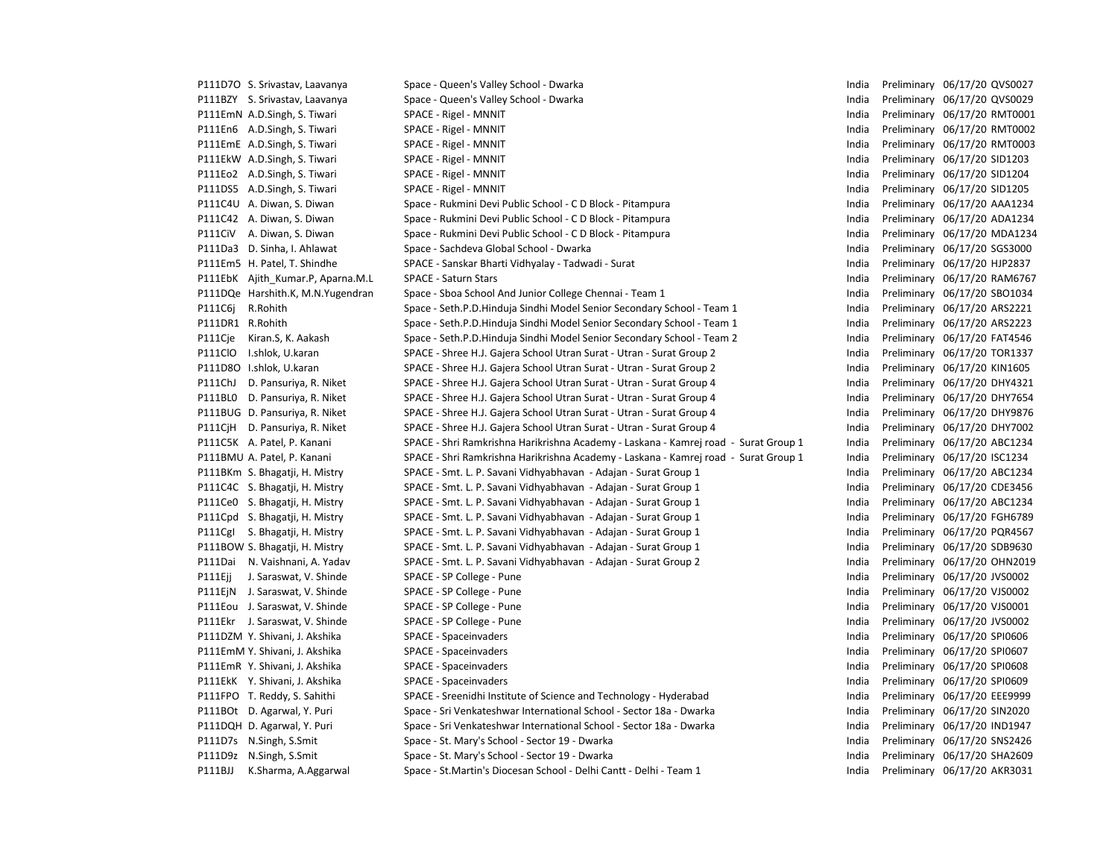|                  | P111D7O S. Srivastav, Laavanya    | Space - Queen's Valley School - Dwarka                                              | India | Preliminary 06/17/20 QVS0027 |
|------------------|-----------------------------------|-------------------------------------------------------------------------------------|-------|------------------------------|
|                  | P111BZY S. Srivastav, Laavanya    | Space - Queen's Valley School - Dwarka                                              | India | Preliminary 06/17/20 QVS0029 |
|                  | P111EmN A.D.Singh, S. Tiwari      | SPACE - Rigel - MNNIT                                                               | India | Preliminary 06/17/20 RMT0001 |
|                  | P111En6 A.D.Singh, S. Tiwari      | SPACE - Rigel - MNNIT                                                               | India | Preliminary 06/17/20 RMT0002 |
|                  | P111EmE A.D.Singh, S. Tiwari      | SPACE - Rigel - MNNIT                                                               | India | Preliminary 06/17/20 RMT0003 |
|                  | P111EkW A.D.Singh, S. Tiwari      | SPACE - Rigel - MNNIT                                                               | India | Preliminary 06/17/20 SID1203 |
|                  | P111Eo2 A.D.Singh, S. Tiwari      | SPACE - Rigel - MNNIT                                                               | India | Preliminary 06/17/20 SID1204 |
|                  | P111DS5 A.D.Singh, S. Tiwari      | SPACE - Rigel - MNNIT                                                               | India | Preliminary 06/17/20 SID1205 |
|                  | P111C4U A. Diwan, S. Diwan        | Space - Rukmini Devi Public School - C D Block - Pitampura                          | India | Preliminary 06/17/20 AAA1234 |
|                  | P111C42 A. Diwan, S. Diwan        | Space - Rukmini Devi Public School - C D Block - Pitampura                          | India | Preliminary 06/17/20 ADA1234 |
|                  | P111CiV A. Diwan, S. Diwan        | Space - Rukmini Devi Public School - C D Block - Pitampura                          | India | Preliminary 06/17/20 MDA123  |
|                  | P111Da3 D. Sinha, I. Ahlawat      | Space - Sachdeva Global School - Dwarka                                             | India | Preliminary 06/17/20 SGS3000 |
|                  | P111Em5 H. Patel, T. Shindhe      | SPACE - Sanskar Bharti Vidhyalay - Tadwadi - Surat                                  | India | Preliminary 06/17/20 HJP2837 |
|                  | P111EbK Ajith Kumar.P, Aparna.M.L | <b>SPACE - Saturn Stars</b>                                                         | India | Preliminary 06/17/20 RAM676  |
|                  | P111DQe Harshith.K, M.N.Yugendran | Space - Sboa School And Junior College Chennai - Team 1                             | India | Preliminary 06/17/20 SBO1034 |
| P111C6j          | R.Rohith                          | Space - Seth.P.D.Hinduja Sindhi Model Senior Secondary School - Team 1              | India | Preliminary 06/17/20 ARS2221 |
| P111DR1 R.Rohith |                                   | Space - Seth.P.D.Hinduja Sindhi Model Senior Secondary School - Team 1              | India | Preliminary 06/17/20 ARS2223 |
| P111Cje          | Kiran.S, K. Aakash                | Space - Seth.P.D.Hinduja Sindhi Model Senior Secondary School - Team 2              | India | Preliminary 06/17/20 FAT4546 |
| P111ClO          | I.shlok, U.karan                  | SPACE - Shree H.J. Gajera School Utran Surat - Utran - Surat Group 2                | India | Preliminary 06/17/20 TOR1337 |
|                  | P111D8O I.shlok, U.karan          | SPACE - Shree H.J. Gajera School Utran Surat - Utran - Surat Group 2                | India | Preliminary 06/17/20 KIN1605 |
| P111ChJ          | D. Pansuriya, R. Niket            | SPACE - Shree H.J. Gajera School Utran Surat - Utran - Surat Group 4                | India | Preliminary 06/17/20 DHY4321 |
|                  | P111BLO D. Pansuriya, R. Niket    | SPACE - Shree H.J. Gajera School Utran Surat - Utran - Surat Group 4                | India | Preliminary 06/17/20 DHY7654 |
|                  | P111BUG D. Pansuriya, R. Niket    | SPACE - Shree H.J. Gajera School Utran Surat - Utran - Surat Group 4                | India | Preliminary 06/17/20 DHY9876 |
|                  | P111CjH D. Pansuriya, R. Niket    | SPACE - Shree H.J. Gajera School Utran Surat - Utran - Surat Group 4                | India | Preliminary 06/17/20 DHY7002 |
|                  | P111C5K A. Patel, P. Kanani       | SPACE - Shri Ramkrishna Harikrishna Academy - Laskana - Kamrej road - Surat Group 1 | India | Preliminary 06/17/20 ABC1234 |
|                  | P111BMU A. Patel, P. Kanani       | SPACE - Shri Ramkrishna Harikrishna Academy - Laskana - Kamrej road - Surat Group 1 | India | Preliminary 06/17/20 ISC1234 |
|                  | P111BKm S. Bhagatji, H. Mistry    | SPACE - Smt. L. P. Savani Vidhyabhavan - Adajan - Surat Group 1                     | India | Preliminary 06/17/20 ABC1234 |
|                  | P111C4C S. Bhagatji, H. Mistry    | SPACE - Smt. L. P. Savani Vidhyabhavan - Adajan - Surat Group 1                     | India | Preliminary 06/17/20 CDE3456 |
|                  | P111Ce0 S. Bhagatji, H. Mistry    | SPACE - Smt. L. P. Savani Vidhyabhavan - Adajan - Surat Group 1                     | India | Preliminary 06/17/20 ABC1234 |
|                  | P111Cpd S. Bhagatji, H. Mistry    | SPACE - Smt. L. P. Savani Vidhyabhavan - Adajan - Surat Group 1                     | India | Preliminary 06/17/20 FGH6789 |
|                  | P111Cgl S. Bhagatji, H. Mistry    | SPACE - Smt. L. P. Savani Vidhyabhavan - Adajan - Surat Group 1                     | India | Preliminary 06/17/20 PQR4567 |
|                  | P111BOW S. Bhagatji, H. Mistry    | SPACE - Smt. L. P. Savani Vidhyabhavan - Adajan - Surat Group 1                     | India | Preliminary 06/17/20 SDB9630 |
| P111Dai          | N. Vaishnani, A. Yadav            | SPACE - Smt. L. P. Savani Vidhyabhavan - Adajan - Surat Group 2                     | India | Preliminary 06/17/20 OHN2019 |
| P111Ejj          | J. Saraswat, V. Shinde            | SPACE - SP College - Pune                                                           | India | Preliminary 06/17/20 JVS0002 |
|                  | P111EjN J. Saraswat, V. Shinde    | SPACE - SP College - Pune                                                           | India | Preliminary 06/17/20 VJS0002 |
|                  | P111Eou J. Saraswat, V. Shinde    | SPACE - SP College - Pune                                                           | India | Preliminary 06/17/20 VJS0001 |
|                  | P111Ekr J. Saraswat, V. Shinde    | SPACE - SP College - Pune                                                           | India | Preliminary 06/17/20 JVS0002 |
|                  | P111DZM Y. Shivani, J. Akshika    | SPACE - Spaceinvaders                                                               | India | Preliminary 06/17/20 SPI0606 |
|                  | P111EmM Y. Shivani, J. Akshika    | SPACE - Spaceinvaders                                                               | India | Preliminary 06/17/20 SPI0607 |
|                  | P111EmR Y. Shivani, J. Akshika    | SPACE - Spaceinvaders                                                               | India | Preliminary 06/17/20 SPI0608 |
|                  | P111EkK Y. Shivani, J. Akshika    | SPACE - Spaceinvaders                                                               | India | Preliminary 06/17/20 SPI0609 |
|                  | P111FPO T. Reddy, S. Sahithi      | SPACE - Sreenidhi Institute of Science and Technology - Hyderabad                   | India | Preliminary 06/17/20 EEE9999 |
|                  | P111BOt D. Agarwal, Y. Puri       | Space - Sri Venkateshwar International School - Sector 18a - Dwarka                 | India | Preliminary 06/17/20 SIN2020 |
|                  | P111DQH D. Agarwal, Y. Puri       | Space - Sri Venkateshwar International School - Sector 18a - Dwarka                 | India | Preliminary 06/17/20 IND1947 |
|                  | P111D7s N.Singh, S.Smit           | Space - St. Mary's School - Sector 19 - Dwarka                                      | India | Preliminary 06/17/20 SNS2426 |
|                  | P111D9z N.Singh, S.Smit           | Space - St. Mary's School - Sector 19 - Dwarka                                      | India | Preliminary 06/17/20 SHA2609 |
| P111BJJ          | K.Sharma, A.Aggarwal              | Space - St.Martin's Diocesan School - Delhi Cantt - Delhi - Team 1                  | India | Preliminary 06/17/20 AKR3031 |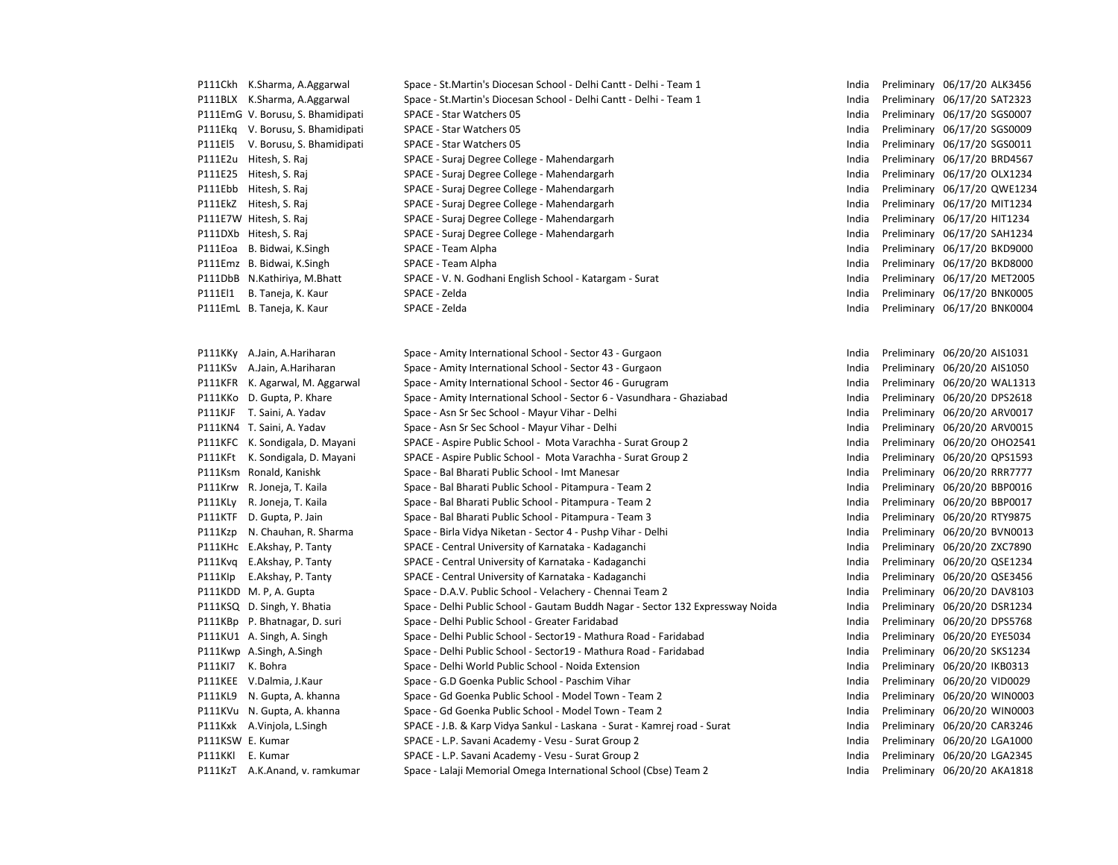|                  | P111Ckh K.Sharma, A.Aggarwal      | Space - St.Martin's Diocesan School - Delhi Cantt - Delhi - Team 1             | India | Preliminary 06/17/20 ALK3456 |
|------------------|-----------------------------------|--------------------------------------------------------------------------------|-------|------------------------------|
|                  | P111BLX K.Sharma, A.Aggarwal      | Space - St.Martin's Diocesan School - Delhi Cantt - Delhi - Team 1             | India | Preliminary 06/17/20 SAT2323 |
|                  | P111EmG V. Borusu, S. Bhamidipati | SPACE - Star Watchers 05                                                       | India | Preliminary 06/17/20 SGS0007 |
|                  | P111Ekg V. Borusu, S. Bhamidipati | SPACE - Star Watchers 05                                                       | India | Preliminary 06/17/20 SGS0009 |
| P111El5          | V. Borusu, S. Bhamidipati         | SPACE - Star Watchers 05                                                       | India | Preliminary 06/17/20 SGS0011 |
|                  | P111E2u Hitesh, S. Raj            | SPACE - Suraj Degree College - Mahendargarh                                    | India | Preliminary 06/17/20 BRD4567 |
|                  | P111E25 Hitesh, S. Raj            | SPACE - Suraj Degree College - Mahendargarh                                    | India | Preliminary 06/17/20 OLX1234 |
|                  | P111Ebb Hitesh, S. Raj            | SPACE - Suraj Degree College - Mahendargarh                                    | India | Preliminary 06/17/20 QWE1234 |
|                  | P111EkZ Hitesh, S. Raj            | SPACE - Suraj Degree College - Mahendargarh                                    | India | Preliminary 06/17/20 MIT1234 |
|                  | P111E7W Hitesh, S. Raj            | SPACE - Suraj Degree College - Mahendargarh                                    | India | Preliminary 06/17/20 HIT1234 |
|                  | P111DXb Hitesh, S. Raj            | SPACE - Suraj Degree College - Mahendargarh                                    | India | Preliminary 06/17/20 SAH1234 |
|                  | P111Eoa B. Bidwai, K.Singh        | SPACE - Team Alpha                                                             | India | Preliminary 06/17/20 BKD9000 |
|                  | P111Emz B. Bidwai, K.Singh        | SPACE - Team Alpha                                                             | India | Preliminary 06/17/20 BKD8000 |
|                  | P111DbB N.Kathiriya, M.Bhatt      | SPACE - V. N. Godhani English School - Katargam - Surat                        | India | Preliminary 06/17/20 MET2005 |
| P111El1          | B. Taneja, K. Kaur                | SPACE - Zelda                                                                  | India | Preliminary 06/17/20 BNK0005 |
|                  | P111EmL B. Taneja, K. Kaur        | SPACE - Zelda                                                                  | India | Preliminary 06/17/20 BNK0004 |
|                  |                                   |                                                                                |       |                              |
|                  |                                   |                                                                                |       |                              |
|                  | P111KKy A.Jain, A.Hariharan       | Space - Amity International School - Sector 43 - Gurgaon                       | India | Preliminary 06/20/20 AIS1031 |
|                  | P111KSv A.Jain, A.Hariharan       | Space - Amity International School - Sector 43 - Gurgaon                       | India | Preliminary 06/20/20 AIS1050 |
|                  | P111KFR K. Agarwal, M. Aggarwal   | Space - Amity International School - Sector 46 - Gurugram                      | India | Preliminary 06/20/20 WAL1313 |
|                  | P111KKo D. Gupta, P. Khare        | Space - Amity International School - Sector 6 - Vasundhara - Ghaziabad         | India | Preliminary 06/20/20 DPS2618 |
|                  | P111KJF T. Saini, A. Yadav        | Space - Asn Sr Sec School - Mayur Vihar - Delhi                                | India | Preliminary 06/20/20 ARV0017 |
|                  | P111KN4 T. Saini, A. Yadav        | Space - Asn Sr Sec School - Mayur Vihar - Delhi                                | India | Preliminary 06/20/20 ARV0015 |
|                  | P111KFC K. Sondigala, D. Mayani   | SPACE - Aspire Public School - Mota Varachha - Surat Group 2                   | India | Preliminary 06/20/20 OHO2541 |
| P111KFt          | K. Sondigala, D. Mayani           | SPACE - Aspire Public School - Mota Varachha - Surat Group 2                   | India | Preliminary 06/20/20 QPS1593 |
| P111Ksm          | Ronald, Kanishk                   | Space - Bal Bharati Public School - Imt Manesar                                | India | Preliminary 06/20/20 RRR7777 |
| P111Krw          | R. Joneja, T. Kaila               | Space - Bal Bharati Public School - Pitampura - Team 2                         | India | Preliminary 06/20/20 BBP0016 |
| P111KLy          | R. Joneja, T. Kaila               | Space - Bal Bharati Public School - Pitampura - Team 2                         | India | Preliminary 06/20/20 BBP0017 |
|                  | P111KTF D. Gupta, P. Jain         | Space - Bal Bharati Public School - Pitampura - Team 3                         | India | Preliminary 06/20/20 RTY9875 |
| P111Kzp          | N. Chauhan, R. Sharma             | Space - Birla Vidya Niketan - Sector 4 - Pushp Vihar - Delhi                   | India | Preliminary 06/20/20 BVN0013 |
|                  | P111KHc E.Akshay, P. Tanty        | SPACE - Central University of Karnataka - Kadaganchi                           | India | Preliminary 06/20/20 ZXC7890 |
|                  | P111Kvg E.Akshay, P. Tanty        | SPACE - Central University of Karnataka - Kadaganchi                           | India | Preliminary 06/20/20 QSE1234 |
| P111Klp          | E.Akshay, P. Tanty                | SPACE - Central University of Karnataka - Kadaganchi                           | India | Preliminary 06/20/20 QSE3456 |
|                  | P111KDD M. P, A. Gupta            | Space - D.A.V. Public School - Velachery - Chennai Team 2                      | India | Preliminary 06/20/20 DAV8103 |
|                  | P111KSQ D. Singh, Y. Bhatia       | Space - Delhi Public School - Gautam Buddh Nagar - Sector 132 Expressway Noida | India | Preliminary 06/20/20 DSR1234 |
|                  | P111KBp P. Bhatnagar, D. suri     | Space - Delhi Public School - Greater Faridabad                                | India | Preliminary 06/20/20 DPS5768 |
|                  | P111KU1 A. Singh, A. Singh        | Space - Delhi Public School - Sector19 - Mathura Road - Faridabad              | India | Preliminary 06/20/20 EYE5034 |
|                  | P111Kwp A.Singh, A.Singh          | Space - Delhi Public School - Sector19 - Mathura Road - Faridabad              | India | Preliminary 06/20/20 SKS1234 |
| P111KI7          | K. Bohra                          | Space - Delhi World Public School - Noida Extension                            | India | Preliminary 06/20/20 IKB0313 |
|                  | P111KEE V.Dalmia, J.Kaur          | Space - G.D Goenka Public School - Paschim Vihar                               | India | Preliminary 06/20/20 VID0029 |
|                  | P111KL9 N. Gupta, A. khanna       | Space - Gd Goenka Public School - Model Town - Team 2                          | India | Preliminary 06/20/20 WIN0003 |
|                  | P111KVu N. Gupta, A. khanna       | Space - Gd Goenka Public School - Model Town - Team 2                          | India | Preliminary 06/20/20 WIN0003 |
|                  | P111Kxk A.Vinjola, L.Singh        | SPACE - J.B. & Karp Vidya Sankul - Laskana - Surat - Kamrej road - Surat       | India | Preliminary 06/20/20 CAR3246 |
| P111KSW E. Kumar |                                   | SPACE - L.P. Savani Academy - Vesu - Surat Group 2                             | India | Preliminary 06/20/20 LGA1000 |
| P111KKl E. Kumar |                                   | SPACE - L.P. Savani Academy - Vesu - Surat Group 2                             | India | Preliminary 06/20/20 LGA2345 |
|                  | P111KzT A.K.Anand, v. ramkumar    | Space - Lalaji Memorial Omega International School (Cbse) Team 2               | India | Preliminary 06/20/20 AKA1818 |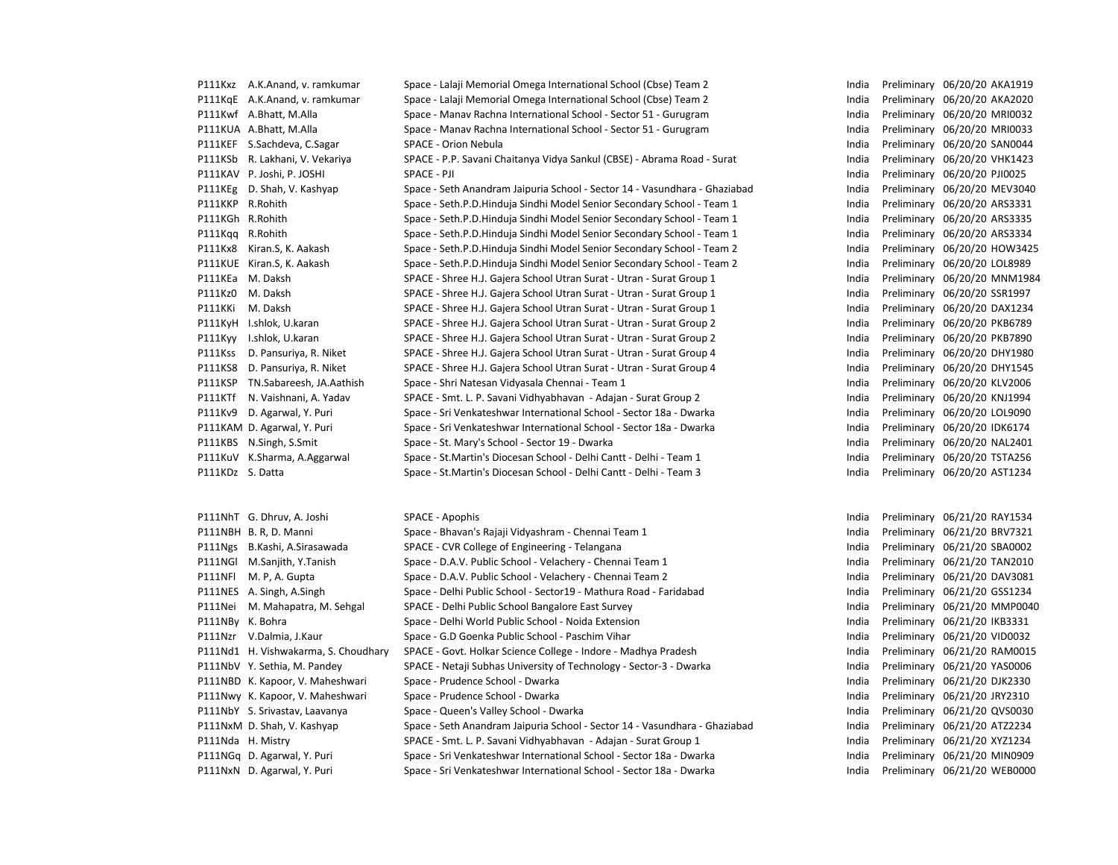|                  | P111Kxz A.K.Anand, v. ramkumar       | Space - Lalaji Memorial Omega International School (Cbse) Team 2           | India | Preliminary 06/20/20 AKA1919 |
|------------------|--------------------------------------|----------------------------------------------------------------------------|-------|------------------------------|
|                  | P111KgE A.K.Anand, v. ramkumar       | Space - Lalaji Memorial Omega International School (Cbse) Team 2           | India | Preliminary 06/20/20 AKA2020 |
|                  | P111Kwf A.Bhatt, M.Alla              | Space - Manav Rachna International School - Sector 51 - Gurugram           | India | Preliminary 06/20/20 MRI0032 |
|                  | P111KUA A.Bhatt, M.Alla              | Space - Manav Rachna International School - Sector 51 - Gurugram           | India | Preliminary 06/20/20 MRI0033 |
|                  | P111KEF S.Sachdeva, C.Sagar          | SPACE - Orion Nebula                                                       | India | Preliminary 06/20/20 SAN0044 |
|                  | P111KSb R. Lakhani, V. Vekariya      | SPACE - P.P. Savani Chaitanya Vidya Sankul (CBSE) - Abrama Road - Surat    | India | Preliminary 06/20/20 VHK1423 |
|                  | P111KAV P. Joshi, P. JOSHI           | SPACE - PJI                                                                | India | Preliminary 06/20/20 PJI0025 |
|                  | P111KEg D. Shah, V. Kashyap          | Space - Seth Anandram Jaipuria School - Sector 14 - Vasundhara - Ghaziabad | India | Preliminary 06/20/20 MEV3040 |
| P111KKP R.Rohith |                                      | Space - Seth.P.D.Hinduja Sindhi Model Senior Secondary School - Team 1     | India | Preliminary 06/20/20 ARS3331 |
| P111KGh R.Rohith |                                      | Space - Seth.P.D.Hinduja Sindhi Model Senior Secondary School - Team 1     | India | Preliminary 06/20/20 ARS3335 |
| P111Kqq R.Rohith |                                      | Space - Seth.P.D.Hinduja Sindhi Model Senior Secondary School - Team 1     | India | Preliminary 06/20/20 ARS3334 |
| P111Kx8          | Kiran.S, K. Aakash                   | Space - Seth.P.D.Hinduja Sindhi Model Senior Secondary School - Team 2     | India | Preliminary 06/20/20 HOW3425 |
|                  | P111KUE Kiran.S, K. Aakash           | Space - Seth.P.D.Hinduja Sindhi Model Senior Secondary School - Team 2     | India | Preliminary 06/20/20 LOL8989 |
|                  | P111KEa M. Daksh                     | SPACE - Shree H.J. Gajera School Utran Surat - Utran - Surat Group 1       | India | Preliminary 06/20/20 MNM1984 |
| P111Kz0          | M. Daksh                             | SPACE - Shree H.J. Gajera School Utran Surat - Utran - Surat Group 1       | India | Preliminary 06/20/20 SSR1997 |
| P111KKi          | M. Daksh                             | SPACE - Shree H.J. Gajera School Utran Surat - Utran - Surat Group 1       | India | Preliminary 06/20/20 DAX1234 |
|                  | P111KyH I.shlok, U.karan             | SPACE - Shree H.J. Gajera School Utran Surat - Utran - Surat Group 2       | India | Preliminary 06/20/20 PKB6789 |
| P111Kyy          | I.shlok, U.karan                     | SPACE - Shree H.J. Gajera School Utran Surat - Utran - Surat Group 2       | India | Preliminary 06/20/20 PKB7890 |
| P111Kss          | D. Pansuriya, R. Niket               | SPACE - Shree H.J. Gajera School Utran Surat - Utran - Surat Group 4       | India | Preliminary 06/20/20 DHY1980 |
|                  | P111KS8 D. Pansuriya, R. Niket       | SPACE - Shree H.J. Gajera School Utran Surat - Utran - Surat Group 4       | India | Preliminary 06/20/20 DHY1545 |
|                  | P111KSP TN.Sabareesh, JA.Aathish     | Space - Shri Natesan Vidyasala Chennai - Team 1                            | India | Preliminary 06/20/20 KLV2006 |
| P111KTf          | N. Vaishnani, A. Yadav               | SPACE - Smt. L. P. Savani Vidhyabhavan - Adajan - Surat Group 2            | India | Preliminary 06/20/20 KNJ1994 |
| P111Kv9          | D. Agarwal, Y. Puri                  | Space - Sri Venkateshwar International School - Sector 18a - Dwarka        | India | Preliminary 06/20/20 LOL9090 |
|                  | P111KAM D. Agarwal, Y. Puri          | Space - Sri Venkateshwar International School - Sector 18a - Dwarka        | India | Preliminary 06/20/20 IDK6174 |
|                  | P111KBS N.Singh, S.Smit              | Space - St. Mary's School - Sector 19 - Dwarka                             | India | Preliminary 06/20/20 NAL2401 |
|                  | P111KuV K.Sharma, A.Aggarwal         | Space - St.Martin's Diocesan School - Delhi Cantt - Delhi - Team 1         | India | Preliminary 06/20/20 TSTA256 |
| P111KDz S. Datta |                                      | Space - St. Martin's Diocesan School - Delhi Cantt - Delhi - Team 3        | India | Preliminary 06/20/20 AST1234 |
|                  |                                      |                                                                            |       |                              |
|                  | P111NhT G. Dhruv, A. Joshi           | SPACE - Apophis                                                            | India | Preliminary 06/21/20 RAY1534 |
|                  | P111NBH B.R, D. Manni                | Space - Bhavan's Rajaji Vidyashram - Chennai Team 1                        | India | Preliminary 06/21/20 BRV7321 |
|                  | P111Ngs B.Kashi, A.Sirasawada        | SPACE - CVR College of Engineering - Telangana                             | India | Preliminary 06/21/20 SBA0002 |
|                  | P111NGI M.Sanjith, Y.Tanish          | Space - D.A.V. Public School - Velachery - Chennai Team 1                  | India | Preliminary 06/21/20 TAN2010 |
| P111NFI          | M. P, A. Gupta                       | Space - D.A.V. Public School - Velachery - Chennai Team 2                  | India | Preliminary 06/21/20 DAV3081 |
|                  | P111NES A. Singh, A. Singh           | Space - Delhi Public School - Sector19 - Mathura Road - Faridabad          | India | Preliminary 06/21/20 GSS1234 |
| P111Nei          | M. Mahapatra, M. Sehgal              | SPACE - Delhi Public School Bangalore East Survey                          | India | Preliminary 06/21/20 MMP0040 |
| P111NBy K. Bohra |                                      | Space - Delhi World Public School - Noida Extension                        | India | Preliminary 06/21/20 IKB3331 |
|                  | P111Nzr V.Dalmia, J.Kaur             | Space - G.D Goenka Public School - Paschim Vihar                           | India | Preliminary 06/21/20 VID0032 |
|                  | P111Nd1 H. Vishwakarma, S. Choudhary | SPACE - Govt. Holkar Science College - Indore - Madhya Pradesh             | India | Preliminary 06/21/20 RAM0015 |
|                  | P111NbV Y. Sethia, M. Pandey         | SPACE - Netaji Subhas University of Technology - Sector-3 - Dwarka         | India | Preliminary 06/21/20 YAS0006 |
|                  | P111NBD K. Kapoor, V. Maheshwari     | Space - Prudence School - Dwarka                                           | India | Preliminary 06/21/20 DJK2330 |
|                  | P111Nwy K. Kapoor, V. Maheshwari     | Space - Prudence School - Dwarka                                           | India | Preliminary 06/21/20 JRY2310 |
|                  | P111NbY S. Srivastav, Laavanya       | Space - Queen's Valley School - Dwarka                                     | India | Preliminary 06/21/20 QVS0030 |
|                  | P111NxM D. Shah, V. Kashyap          | Space - Seth Anandram Jaipuria School - Sector 14 - Vasundhara - Ghaziabad | India | Preliminary 06/21/20 ATZ2234 |
|                  | P111Nda H. Mistry                    | SPACE - Smt. L. P. Savani Vidhyabhavan - Adajan - Surat Group 1            | India | Preliminary 06/21/20 XYZ1234 |
|                  | P111NGa D. Agarwal, Y. Puri          | Space - Sri Venkateshwar International School - Sector 18a - Dwarka        | India | Preliminary 06/21/20 MIN0909 |

P111NxN D. Agarwal, Y. Puri Space - Sri Venkateshwar International School - Sector 18a - Dwarka

| india | Preliminary | 06/Z1/Z0 RAY1534 |                  |
|-------|-------------|------------------|------------------|
| India | Preliminary | 06/21/20 BRV7321 |                  |
| India | Preliminary | 06/21/20 SBA0002 |                  |
| India | Preliminary | 06/21/20 TAN2010 |                  |
| India | Preliminary | 06/21/20 DAV3081 |                  |
| India | Preliminary | 06/21/20 GSS1234 |                  |
| India | Preliminary |                  | 06/21/20 MMP0040 |
| India | Preliminary | 06/21/20 IKB3331 |                  |
| India | Preliminary | 06/21/20 VID0032 |                  |
| India | Preliminary |                  | 06/21/20 RAM0015 |
| India | Preliminary | 06/21/20 YAS0006 |                  |
| India | Preliminary | 06/21/20 DJK2330 |                  |
| India | Preliminary | 06/21/20 JRY2310 |                  |
| India | Preliminary | 06/21/20 QVS0030 |                  |
| India | Preliminary | 06/21/20 ATZ2234 |                  |
| India | Preliminary | 06/21/20 XYZ1234 |                  |
| India | Preliminary |                  | 06/21/20 MIN0909 |
| India | Preliminary |                  | 06/21/20 WEB0000 |
|       |             |                  |                  |